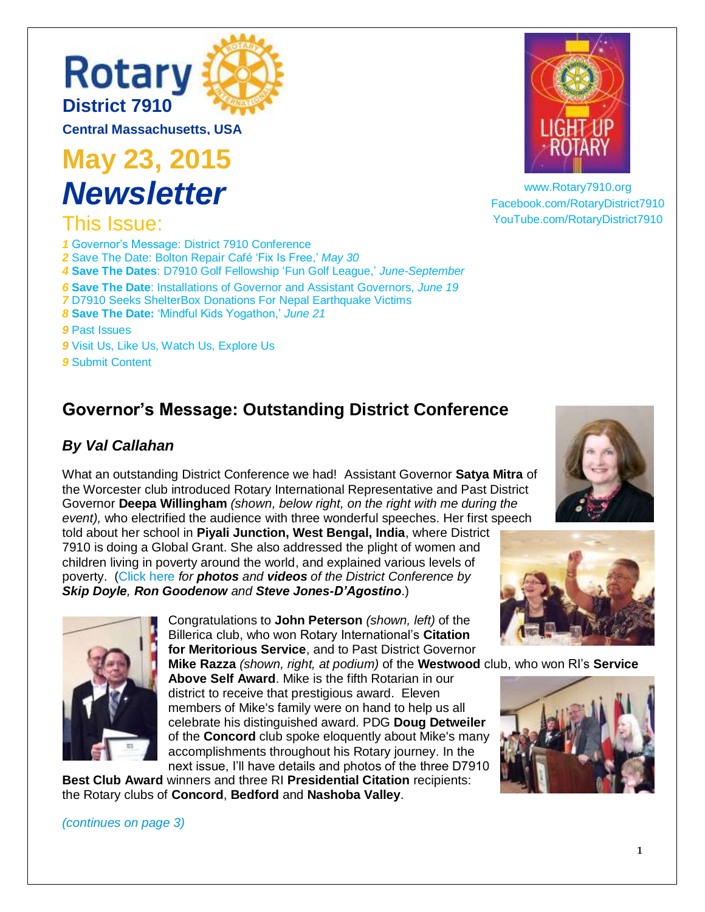# **Rotary [District 7910](http://rotary7910.org/)**

**Central Massachusetts, USA**

**May 23, 2015** *Newsletter* 

### This Issue:

 [Governor's Message: District 7910 Conference](#page-0-0) [Save The Date: Bolton Repair Café](#page-1-0) 'Fix Is Free,' *May 30* **Save The Dates**: D7910 Golf Fellowship 'Fun Golf League,' *June-September* **Save The Date**: Installations of Governor [and Assistant Governors,](#page-5-0) *June 19* [D7910 Seeks ShelterBox Donations For Nepal Earthquake Victims](#page-6-0) **Save The Date:** ['Mindful Kids Yogathon,'](#page-7-0) *June 21* [Past Issues](#page-8-0) [Visit Us, Like Us, Watch Us, Explore Us](#page-8-1) [Submit Content](#page-8-2)

### <span id="page-0-0"></span>**Governor's Message: Outstanding District Conference**

#### *By Val Callahan*

What an outstanding District Conference we had! Assistant Governor **Satya Mitra** of the Worcester club introduced Rotary International Representative and Past District Governor **Deepa Willingham** *(shown, below right, on the right with me during the event),* who electrified the audience with three wonderful speeches. Her first speech

told about her school in **Piyali Junction, West Bengal, India**, where District 7910 is doing a Global Grant. She also addressed the plight of women and children living in poverty around the world, and explained various levels of poverty. [\(Click here](https://picasaweb.google.com/100990700413430718540/RotaryDistrict7910AnnualConference) *for photos and videos of the District Conference by Skip Doyle, Ron Goodenow and Steve Jones-D'Agostino*.)

> Congratulations to **John Peterson** *(shown, left)* of the Billerica club, who won Rotary International's **Citation for Meritorious Service**, and to Past District Governor

**Mike Razza** *(shown, right, at podium)* of the **Westwood** club, who won RI's **Service Above Self Award**. Mike is the fifth Rotarian in our district to receive that prestigious award. Eleven members of Mike's family were on hand to help us all celebrate his distinguished award. PDG **Doug Detweiler** of the **Concord** club spoke eloquently about Mike's many accomplishments throughout his Rotary journey. In the next issue, I'll have details and photos of the three D7910

**Best Club Award** winners and three RI **Presidential Citation** recipients: the Rotary clubs of **Concord**, **Bedford** and **Nashoba Valley**.

[www.Rotary7910.org](http://www.rotary7910.org/) [Facebook.com/RotaryDistrict7910](http://www.facebook.com/RotaryDistrict7910) [YouTube.com/RotaryDistrict7910](https://www.youtube.com/channel/UCyNgU2JaWwW0rAIulzIKmMA)







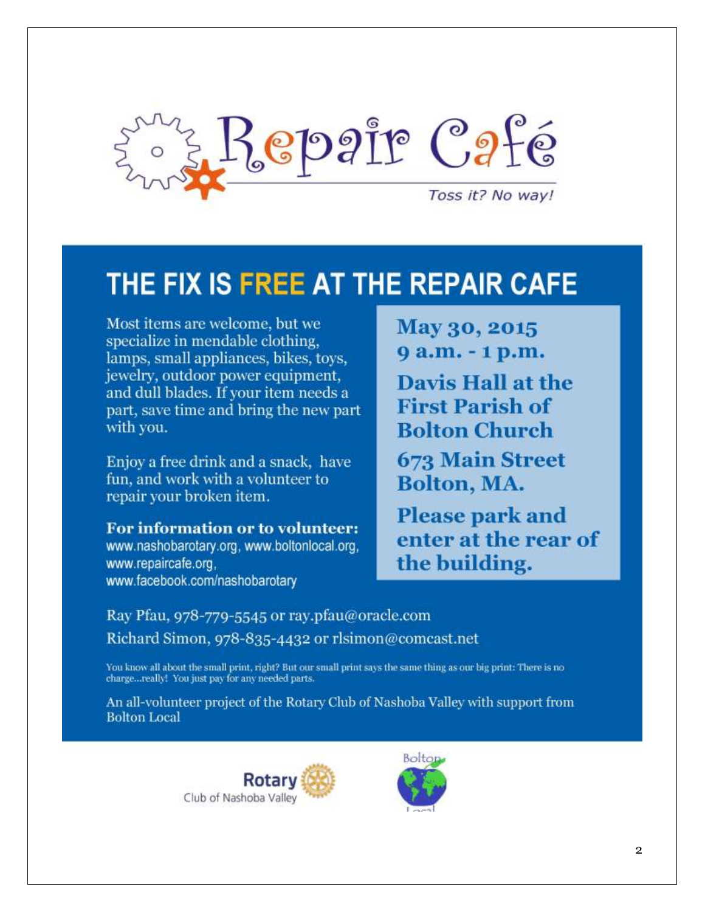<span id="page-1-0"></span>

## THE FIX IS FREE AT THE REPAIR CAFE

Most items are welcome, but we specialize in mendable clothing, lamps, small appliances, bikes, toys, jewelry, outdoor power equipment, and dull blades. If your item needs a part, save time and bring the new part with you.

Enjoy a free drink and a snack, have fun, and work with a volunteer to repair your broken item.

For information or to volunteer: www.nashobarotary.org. www.boltonlocal.org. www.repaircafe.org, www.facebook.com/nashobarotary

May 30, 2015 9 a.m. - 1 p.m. **Davis Hall at the First Parish of Bolton Church 673 Main Street** Bolton, MA.

**Please park and** enter at the rear of the building.

Ray Pfau, 978-779-5545 or ray.pfau@oracle.com Richard Simon, 978-835-4432 or rlsimon@comcast.net

You know all about the small print, right? But our small print says the same thing as our big print: There is no charge...really! You just pay for any needed parts.

An all-volunteer project of the Rotary Club of Nashoba Valley with support from **Bolton Local** 

> Rotar Club of Nashoba Valley

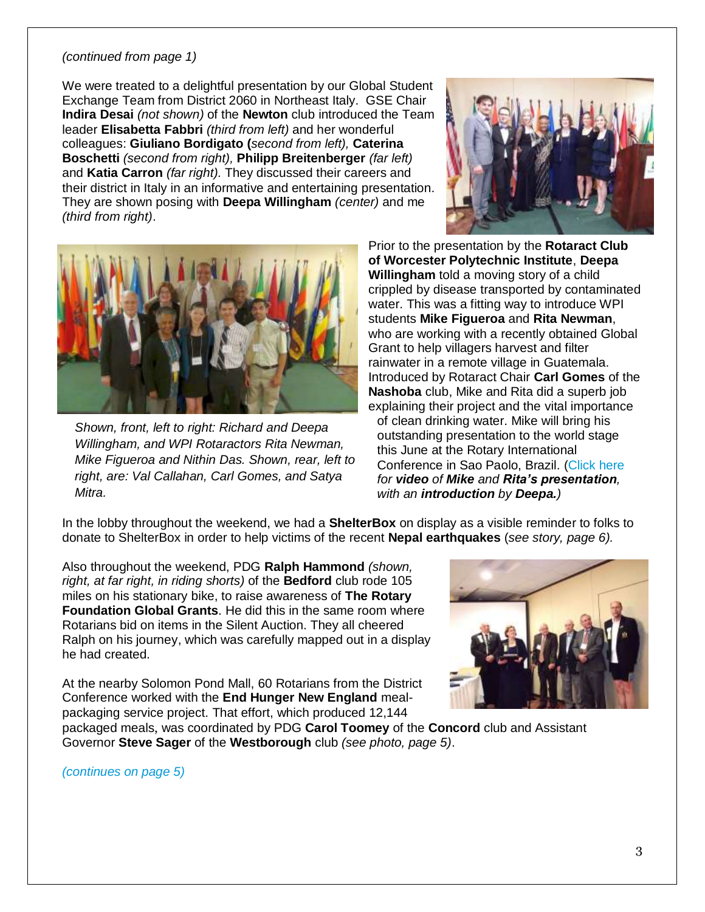#### <span id="page-2-0"></span>*(continued from page 1)*

We were treated to a delightful presentation by our Global Student Exchange Team from District 2060 in Northeast Italy. GSE Chair **Indira Desai** *(not shown)* of the **Newton** club introduced the Team leader **Elisabetta Fabbri** *(third from left)* and her wonderful colleagues: **Giuliano Bordigato (***second from left),* **Caterina Boschetti** *(second from right),* **Philipp Breitenberger** *(far left)* and **Katia Carron** *(far right).* They discussed their careers and their district in Italy in an informative and entertaining presentation. They are shown posing with **Deepa Willingham** *(center)* and me *(third from right)*.





*Shown, front, left to right: Richard and Deepa Willingham, and WPI Rotaractors Rita Newman, Mike Figueroa and Nithin Das. Shown, rear, left to right, are: Val Callahan, Carl Gomes, and Satya Mitra.*

Prior to the presentation by the **Rotaract Club of Worcester Polytechnic Institute**, **Deepa Willingham** told a moving story of a child crippled by disease transported by contaminated water. This was a fitting way to introduce WPI students **Mike Figueroa** and **Rita Newman**, who are working with a recently obtained Global Grant to help villagers harvest and filter rainwater in a remote village in Guatemala. Introduced by Rotaract Chair **Carl Gomes** of the **Nashoba** club, Mike and Rita did a superb job explaining their project and the vital importance of clean drinking water. Mike will bring his outstanding presentation to the world stage this June at the Rotary International Conference in Sao Paolo, Brazil. [\(Click here](https://picasaweb.google.com/100990700413430718540/RotaryDistrict7910AnnualConference#6152686912494382546) *for video of Mike and Rita's presentation, with an introduction by Deepa.)*

In the lobby throughout the weekend, we had a **ShelterBox** on display as a visible reminder to folks to donate to ShelterBox in order to help victims of the recent **Nepal earthquakes** (*see story, page 6).*

Also throughout the weekend, PDG **Ralph Hammond** *(shown, right, at far right, in riding shorts)* of the **Bedford** club rode 105 miles on his stationary bike, to raise awareness of **The Rotary Foundation Global Grants**. He did this in the same room where Rotarians bid on items in the Silent Auction. They all cheered Ralph on his journey, which was carefully mapped out in a display he had created.

At the nearby Solomon Pond Mall, 60 Rotarians from the District Conference worked with the **End Hunger New England** mealpackaging service project. That effort, which produced 12,144



packaged meals, was coordinated by PDG **Carol Toomey** of the **Concord** club and Assistant Governor **Steve Sager** of the **Westborough** club *(see photo, page 5)*.

*[\(continues on page 5\)](#page-4-0)*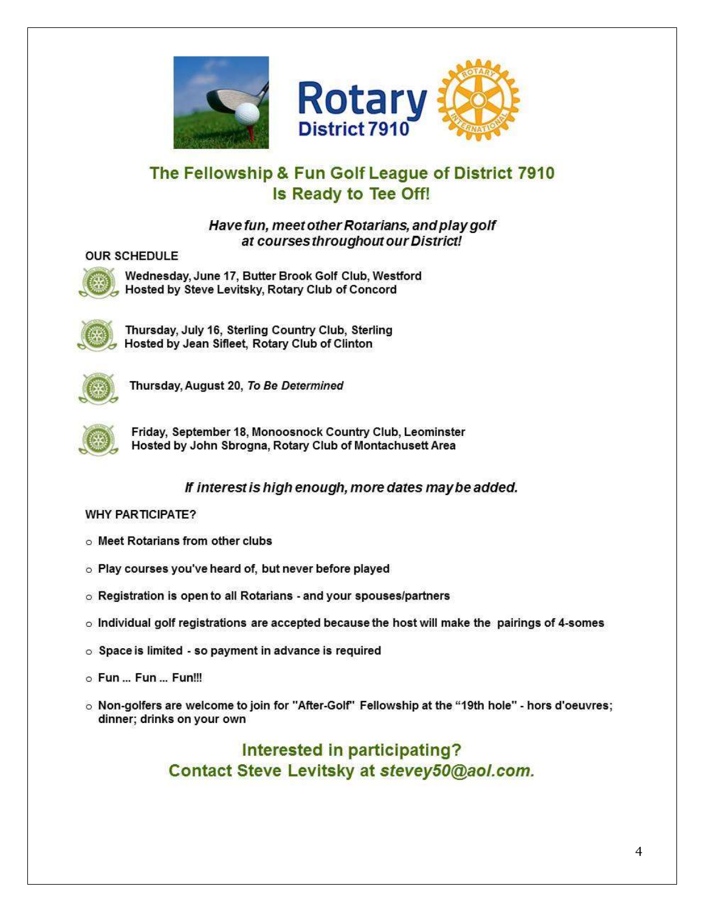



### The Fellowship & Fun Golf League of District 7910 Is Ready to Tee Off!

#### Have fun, meet other Rotarians, and play golf at courses throughout our District!

#### **OUR SCHEDULE**



Wednesday, June 17, Butter Brook Golf Club, Westford Hosted by Steve Levitsky, Rotary Club of Concord



Thursday, July 16, Sterling Country Club, Sterling Hosted by Jean Sifleet, Rotary Club of Clinton



Thursday, August 20, To Be Determined



Friday, September 18, Monoosnock Country Club, Leominster Hosted by John Sbrogna, Rotary Club of Montachusett Area

#### If interest is high enough, more dates may be added.

#### **WHY PARTICIPATE?**

- o Meet Rotarians from other clubs
- o Play courses you've heard of, but never before played
- o Registration is open to all Rotarians and your spouses/partners
- o Individual golf registrations are accepted because the host will make the pairings of 4-somes
- $\circ$  Space is limited so payment in advance is required
- o Fun... Fun... Fun!!!
- o Non-golfers are welcome to join for "After-Golf" Fellowship at the "19th hole" hors d'oeuvres; dinner; drinks on your own

#### Interested in participating? Contact Steve Levitsky at stevey50@aol.com.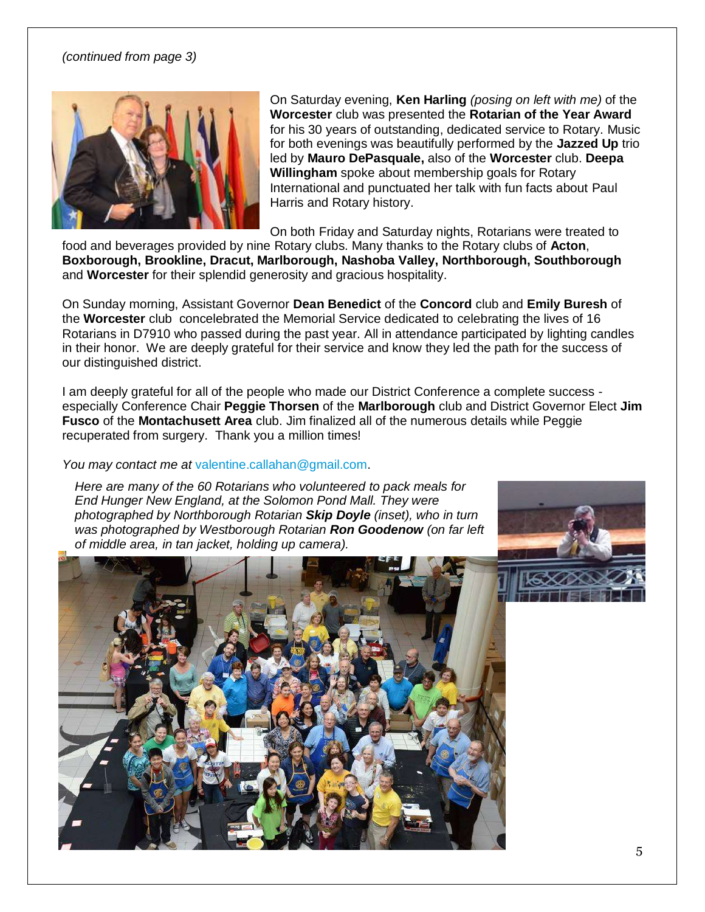#### <span id="page-4-0"></span>*(continued from page 3)*



On Saturday evening, **Ken Harling** *(posing on left with me)* of the **Worcester** club was presented the **Rotarian of the Year Award** for his 30 years of outstanding, dedicated service to Rotary. Music for both evenings was beautifully performed by the **Jazzed Up** trio led by **Mauro DePasquale,** also of the **Worcester** club. **Deepa Willingham** spoke about membership goals for Rotary International and punctuated her talk with fun facts about Paul Harris and Rotary history.

On both Friday and Saturday nights, Rotarians were treated to

food and beverages provided by nine Rotary clubs. Many thanks to the Rotary clubs of **Acton**, **Boxborough, Brookline, Dracut, Marlborough, Nashoba Valley, Northborough, Southborough** and **Worcester** for their splendid generosity and gracious hospitality.

On Sunday morning, Assistant Governor **Dean Benedict** of the **Concord** club and **Emily Buresh** of the **Worcester** club concelebrated the Memorial Service dedicated to celebrating the lives of 16 Rotarians in D7910 who passed during the past year. All in attendance participated by lighting candles in their honor. We are deeply grateful for their service and know they led the path for the success of our distinguished district.

I am deeply grateful for all of the people who made our District Conference a complete success especially Conference Chair **Peggie Thorsen** of the **Marlborough** club and District Governor Elect **Jim Fusco** of the **Montachusett Area** club. Jim finalized all of the numerous details while Peggie recuperated from surgery. Thank you a million times!

*You may contact me at* [valentine.callahan@gmail.com.](mailto:valentine.callahan@gmail.com)

*Here are many of the 60 Rotarians who volunteered to pack meals for End Hunger New England, at the Solomon Pond Mall. They were photographed by Northborough Rotarian Skip Doyle (inset), who in turn was photographed by Westborough Rotarian Ron Goodenow (on far left of middle area, in tan jacket, holding up camera).*



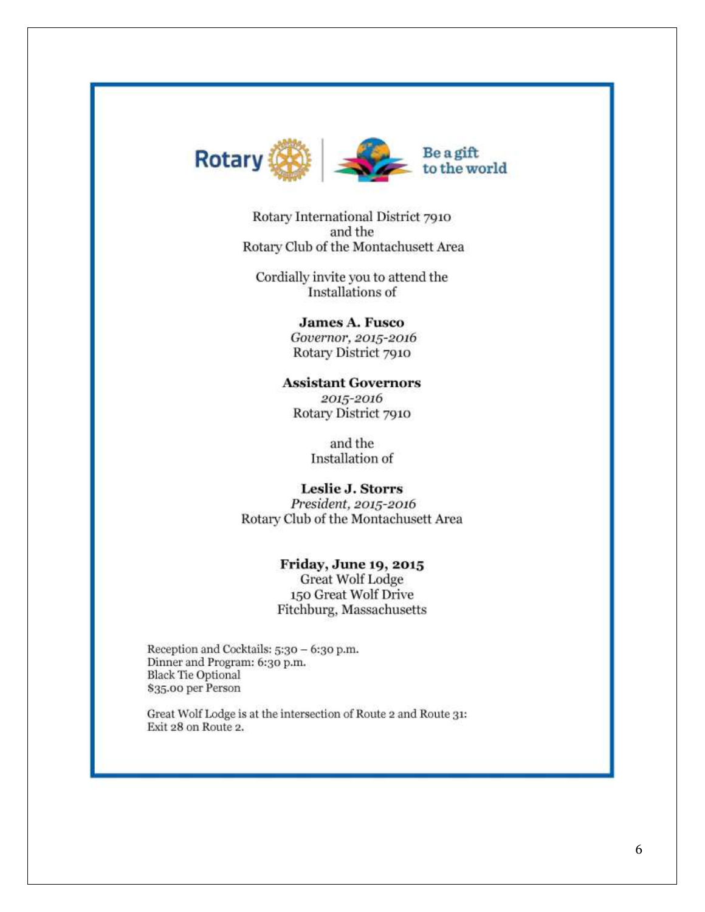<span id="page-5-0"></span>

Rotary International District 7910 and the Rotary Club of the Montachusett Area

Cordially invite you to attend the Installations of

> **James A. Fusco** Governor, 2015-2016 Rotary District 7910

**Assistant Governors** 2015-2016 Rotary District 7910

> and the Installation of

Leslie J. Storrs President, 2015-2016 Rotary Club of the Montachusett Area

> **Friday, June 19, 2015** Great Wolf Lodge 150 Great Wolf Drive Fitchburg, Massachusetts

Reception and Cocktails: 5:30 - 6:30 p.m. Dinner and Program: 6:30 p.m. **Black Tie Optional** \$35.00 per Person

Great Wolf Lodge is at the intersection of Route 2 and Route 31: Exit 28 on Route 2.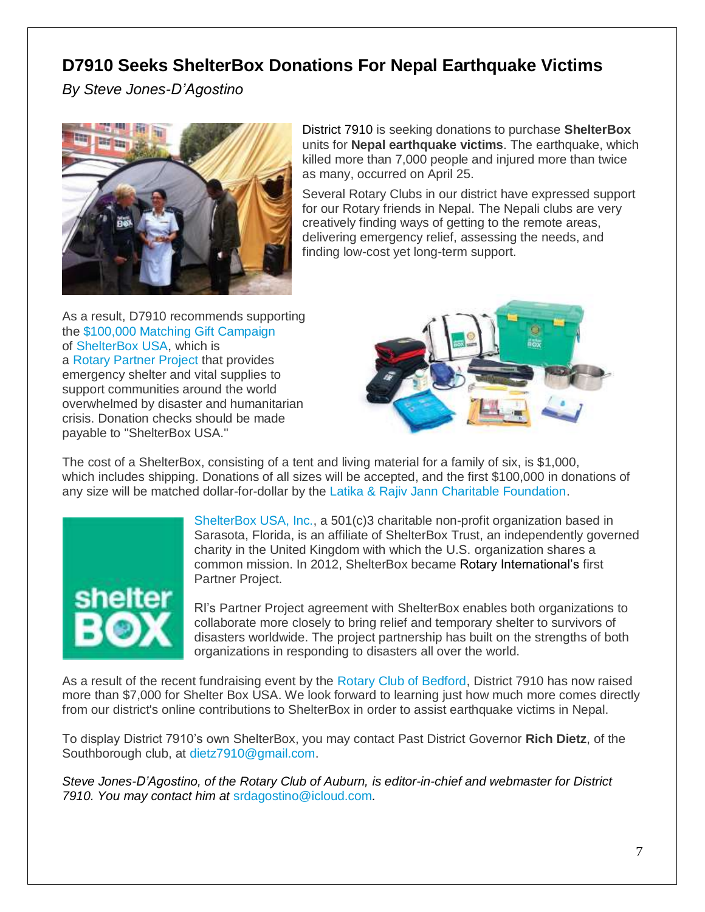### <span id="page-6-0"></span>**D7910 Seeks ShelterBox Donations For Nepal Earthquake Victims**

*By Steve Jones-D'Agostino*



District 7910 is seeking donations to purchase **ShelterBox** units for **Nepal earthquake victims**. The earthquake, which killed more than 7,000 people and injured more than twice as many, occurred on April 25.

Several Rotary Clubs in our district have expressed support for our Rotary friends in Nepal. The Nepali clubs are very creatively finding ways of getting to the remote areas, delivering emergency relief, assessing the needs, and finding low-cost yet long-term support.

As a result, D7910 recommends supporting the [\\$100,000 Matching Gift Campaign](https://35409.thankyou4caring.org/pages/donation-page---matching-gift) of [ShelterBox USA,](http://www.shelterboxusa.org/) which is a [Rotary](https://www.rotary.org/myrotary/en/learning-reference/about-rotary/partners) [Partner](https://www.rotary.org/myrotary/en/learning-reference/about-rotary/partners) [Project](https://www.rotary.org/myrotary/en/learning-reference/about-rotary/partners) that provides emergency shelter and vital supplies to support communities around the world overwhelmed by disaster and humanitarian crisis. Donation checks should be made payable to "ShelterBox USA."



The cost of a ShelterBox, consisting of a tent and living material for a family of six, is \$1,000, which includes shipping. Donations of all sizes will be accepted, and the first \$100,000 in donations of any size will be matched dollar-for-dollar by the [Latika & Rajiv Jann Charitable Foundation.](http://www.corporationwiki.com/p/2fcpn8/latika-rajiv-jain-private-charitable-foundation-inc)



[ShelterBox USA, Inc.,](http://shelterboxusa.org/) a 501(c)3 charitable non-profit organization based in Sarasota, Florida, is an affiliate of ShelterBox Trust, an independently governed charity in the United Kingdom with which the U.S. organization shares a common mission. In 2012, ShelterBox became Rotary International's first Partner Project.

RI's Partner Project agreement with ShelterBox enables both organizations to collaborate more closely to bring relief and temporary shelter to survivors of disasters worldwide. The project partnership has built on the strengths of both organizations in responding to disasters all over the world.

As a result of the recent fundraising event by the [Rotary Club of Bedford,](http://www.bedfordmarotary.org/) District 7910 has now raised more than \$7,000 for Shelter Box USA. We look forward to learning just how much more comes directly from our district's online contributions to ShelterBox in order to assist earthquake victims in Nepal.

To display District 7910's own ShelterBox, you may contact Past District Governor **Rich Dietz**, of the Southborough club, at [dietz7910@gmail.com.](mailto:dietz7910@gmail.com)

*Steve Jones-D'Agostino, of the Rotary Club of Auburn, is editor-in-chief and webmaster for District 7910. You may contact him at* [srdagostino@icloud.com](mailto:srdagostino@icloud.com)*.*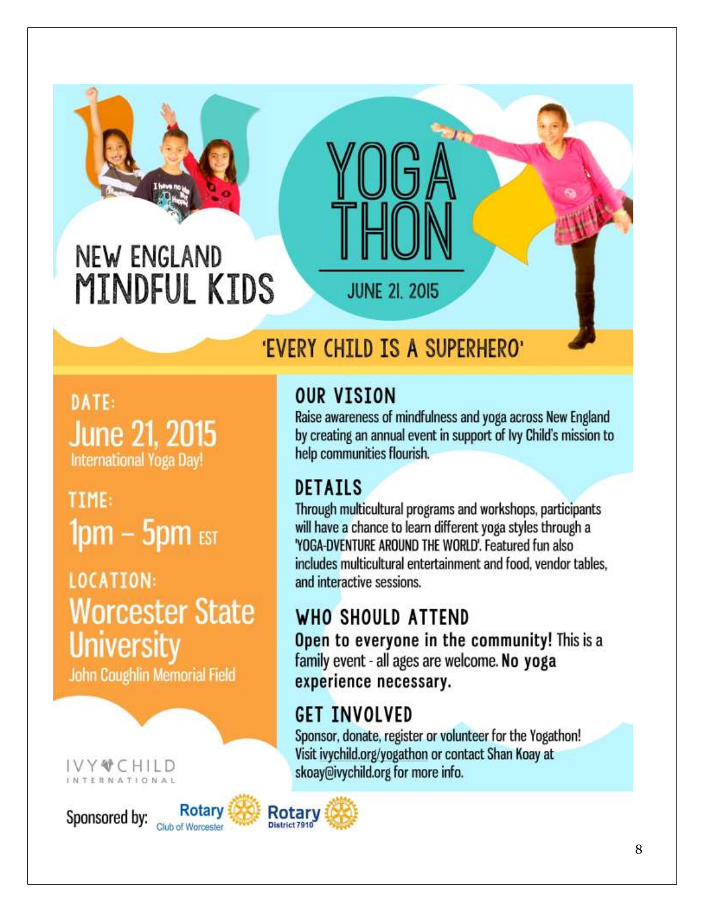<span id="page-7-0"></span>

## 'EVERY CHILD IS A SUPERHERO'

DATE: **June 21, 2015 International Yoga Day!** 

TIME:  $1pm - 5pm$  est

LOCATION: **Worcester State University** 

John Coughlin Memorial Field

#### IVY~CHILD **TERNATIONAL**

Sponsored by: Club of Worceste



#### Rotary District 7910

### **OUR VISION**

Raise awareness of mindfulness and yoga across New England by creating an annual event in support of Ivy Child's mission to help communities flourish.

### **DETAILS**

Through multicultural programs and workshops, participants will have a chance to learn different yoga styles through a 'YOGA-DVENTURE AROUND THE WORLD'. Featured fun also includes multicultural entertainment and food, vendor tables. and interactive sessions.

## WHO SHOULD ATTEND

Open to everyone in the community! This is a family event - all ages are welcome. No yoga experience necessary.

## **GET INVOLVED**

Sponsor, donate, register or volunteer for the Yogathon! Visit ivychild.org/yogathon or contact Shan Koay at skoay@ivychild.org for more info.

8